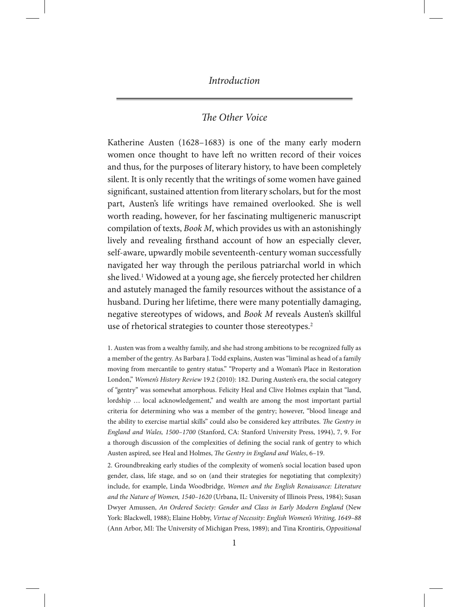# *The Other Voice*

Katherine Austen (1628–1683) is one of the many early modern women once thought to have left no written record of their voices and thus, for the purposes of literary history, to have been completely silent. It is only recently that the writings of some women have gained significant, sustained attention from literary scholars, but for the most part, Austen's life writings have remained overlooked. She is well worth reading, however, for her fascinating multigeneric manuscript compilation of texts, *Book M*, which provides us with an astonishingly lively and revealing firsthand account of how an especially clever, self-aware, upwardly mobile seventeenth-century woman successfully navigated her way through the perilous patriarchal world in which she lived.<sup>1</sup> Widowed at a young age, she fiercely protected her children and astutely managed the family resources without the assistance of a husband. During her lifetime, there were many potentially damaging, negative stereotypes of widows, and *Book M* reveals Austen's skillful use of rhetorical strategies to counter those stereotypes.<sup>2</sup>

1. Austen was from a wealthy family, and she had strong ambitions to be recognized fully as a member of the gentry. As Barbara J. Todd explains, Austen was "liminal as head of a family moving from mercantile to gentry status." "Property and a Woman's Place in Restoration London," *Women's History Review* 19.2 (2010): 182. During Austen's era, the social category of "gentry" was somewhat amorphous. Felicity Heal and Clive Holmes explain that "land, lordship ... local acknowledgement," and wealth are among the most important partial criteria for determining who was a member of the gentry; however, "blood lineage and the ability to exercise martial skills" could also be considered key attributes. *The Gentry in England and Wales, 1500–1700* (Stanford, CA: Stanford University Press, 1994), 7, 9. For a thorough discussion of the complexities of defining the social rank of gentry to which Austen aspired, see Heal and Holmes, *The Gentry in England and Wales*, 6–19.

2. Groundbreaking early studies of the complexity of women's social location based upon gender, class, life stage, and so on (and their strategies for negotiating that complexity) include, for example, Linda Woodbridge, *Women and the English Renaissance: Literature and the Nature of Women, 1540–1620* (Urbana, IL: University of Illinois Press, 1984); Susan Dwyer Amussen, *An Ordered Society: Gender and Class in Early Modern England* (New York: Blackwell, 1988); Elaine Hobby, *Virtue of Necessity: English Women's Writing, 1649–88*  (Ann Arbor, MI: The University of Michigan Press, 1989); and Tina Krontiris, *Oppositional*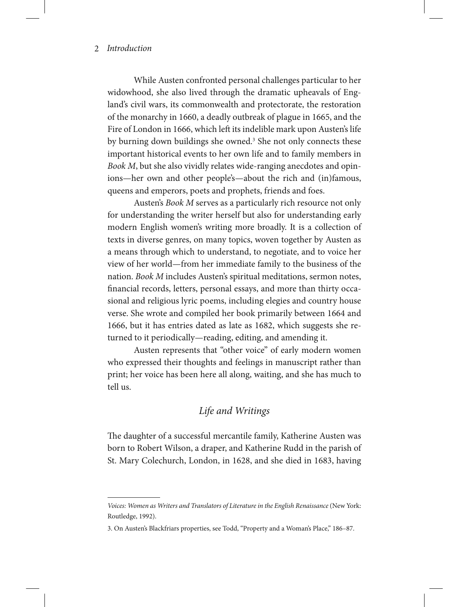While Austen confronted personal challenges particular to her widowhood, she also lived through the dramatic upheavals of England's civil wars, its commonwealth and protectorate, the restoration of the monarchy in 1660, a deadly outbreak of plague in 1665, and the Fire of London in 1666, which left its indelible mark upon Austen's life by burning down buildings she owned.<sup>3</sup> She not only connects these important historical events to her own life and to family members in *Book M*, but she also vividly relates wide-ranging anecdotes and opinions—her own and other people's—about the rich and (in)famous, queens and emperors, poets and prophets, friends and foes.

Austen's *Book M* serves as a particularly rich resource not only for understanding the writer herself but also for understanding early modern English women's writing more broadly. It is a collection of texts in diverse genres, on many topics, woven together by Austen as a means through which to understand, to negotiate, and to voice her view of her world—from her immediate family to the business of the nation. *Book M* includes Austen's spiritual meditations, sermon notes, financial records, letters, personal essays, and more than thirty occasional and religious lyric poems, including elegies and country house verse. She wrote and compiled her book primarily between 1664 and 1666, but it has entries dated as late as 1682, which suggests she returned to it periodically—reading, editing, and amending it.

Austen represents that "other voice" of early modern women who expressed their thoughts and feelings in manuscript rather than print; her voice has been here all along, waiting, and she has much to tell us.

# *Life and Writings*

The daughter of a successful mercantile family, Katherine Austen was born to Robert Wilson, a draper, and Katherine Rudd in the parish of St. Mary Colechurch, London, in 1628, and she died in 1683, having

*Voices: Women as Writers and Translators of Literature in the English Renaissance* (New York: Routledge, 1992).

<sup>3.</sup> On Austen's Blackfriars properties, see Todd, "Property and a Woman's Place," 186–87.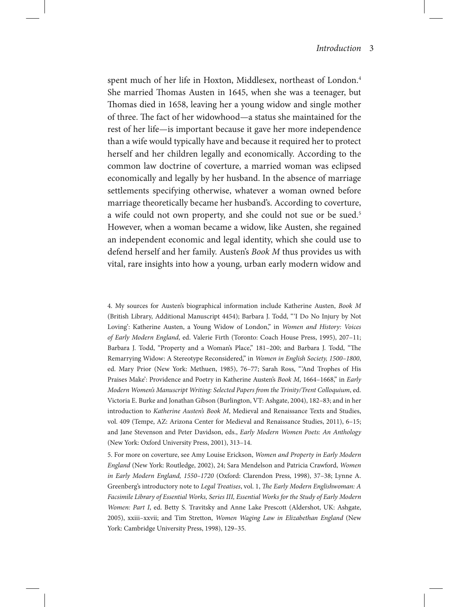spent much of her life in Hoxton, Middlesex, northeast of London.<sup>4</sup> She married Thomas Austen in 1645, when she was a teenager, but Thomas died in 1658, leaving her a young widow and single mother of three. The fact of her widowhood—a status she maintained for the rest of her life—is important because it gave her more independence than a wife would typically have and because it required her to protect herself and her children legally and economically. According to the common law doctrine of coverture, a married woman was eclipsed economically and legally by her husband. In the absence of marriage settlements specifying otherwise, whatever a woman owned before marriage theoretically became her husband's. According to coverture, a wife could not own property, and she could not sue or be sued.<sup>5</sup> However, when a woman became a widow, like Austen, she regained an independent economic and legal identity, which she could use to defend herself and her family. Austen's *Book M* thus provides us with vital, rare insights into how a young, urban early modern widow and

4. My sources for Austen's biographical information include Katherine Austen, *Book M* (British Library, Additional Manuscript 4454); Barbara J. Todd, " 'I Do No Injury by Not Loving': Katherine Austen, a Young Widow of London," in *Women and History: Voices of Early Modern England*, ed. Valerie Firth (Toronto: Coach House Press, 1995), 207–11; Barbara J. Todd, "Property and a Woman's Place," 181–200; and Barbara J. Todd, "The Remarrying Widow: A Stereotype Reconsidered," in *Women in English Society, 1500–1800*, ed. Mary Prior (New York: Methuen, 1985), 76–77; Sarah Ross, " 'And Trophes of His Praises Make': Providence and Poetry in Katherine Austen's *Book M*, 1664–1668," in *Early Modern Women's Manuscript Writing: Selected Papers from the Trinity/Trent Colloquium*, ed. Victoria E. Burke and Jonathan Gibson (Burlington, VT: Ashgate, 2004), 182–83; and in her introduction to *Katherine Austen's Book M*, Medieval and Renaissance Texts and Studies, vol. 409 (Tempe, AZ: Arizona Center for Medieval and Renaissance Studies, 2011), 6–15; and Jane Stevenson and Peter Davidson, eds., *Early Modern Women Poets: An Anthology* (New York: Oxford University Press, 2001), 313–14.

5. For more on coverture, see Amy Louise Erickson, *Women and Property in Early Modern England* (New York: Routledge, 2002), 24; Sara Mendelson and Patricia Crawford, *Women in Early Modern England, 1550–1720* (Oxford: Clarendon Press, 1998), 37–38; Lynne A. Greenberg's introductory note to *Legal Treatises*, vol. 1, *The Early Modern Englishwoman: A Facsimile Library of Essential Works, Series III, Essential Works for the Study of Early Modern Women: Part I*, ed. Betty S. Travitsky and Anne Lake Prescott (Aldershot, UK: Ashgate, 2005), xxiii–xxvii; and Tim Stretton, *Women Waging Law in Elizabethan England* (New York: Cambridge University Press, 1998), 129–35.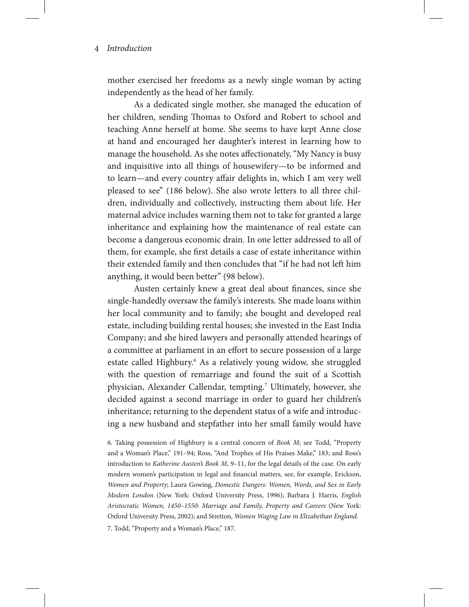mother exercised her freedoms as a newly single woman by acting independently as the head of her family.

As a dedicated single mother, she managed the education of her children, sending Thomas to Oxford and Robert to school and teaching Anne herself at home. She seems to have kept Anne close at hand and encouraged her daughter's interest in learning how to manage the household. As she notes affectionately, "My Nancy is busy and inquisitive into all things of housewifery—to be informed and to learn—and every country affair delights in, which I am very well pleased to see" (186 below). She also wrote letters to all three children, individually and collectively, instructing them about life. Her maternal advice includes warning them not to take for granted a large inheritance and explaining how the maintenance of real estate can become a dangerous economic drain. In one letter addressed to all of them, for example, she first details a case of estate inheritance within their extended family and then concludes that "if he had not left him anything, it would been better" (98 below).

Austen certainly knew a great deal about finances, since she single-handedly oversaw the family's interests. She made loans within her local community and to family; she bought and developed real estate, including building rental houses; she invested in the East India Company; and she hired lawyers and personally attended hearings of a committee at parliament in an effort to secure possession of a large estate called Highbury.<sup>6</sup> As a relatively young widow, she struggled with the question of remarriage and found the suit of a Scottish physician, Alexander Callendar, tempting.<sup>7</sup> Ultimately, however, she decided against a second marriage in order to guard her children's inheritance; returning to the dependent status of a wife and introducing a new husband and stepfather into her small family would have

6. Taking possession of Highbury is a central concern of *Book M*; see Todd, "Property and a Woman's Place," 191–94; Ross, "And Trophes of His Praises Make," 183; and Ross's introduction to *Katherine Austen's Book M*, 9–11, for the legal details of the case. On early modern women's participation in legal and financial matters, see, for example, Erickson, *Women and Property*; Laura Gowing, *Domestic Dangers: Women, Words, and Sex in Early Modern London* (New York: Oxford University Press, 1996); Barbara J. Harris, *English Aristocratic Women, 1450–1550: Marriage and Family, Property and Careers* (New York: Oxford University Press, 2002); and Stretton, *Women Waging Law in Elizabethan England.* 7. Todd, "Property and a Woman's Place," 187.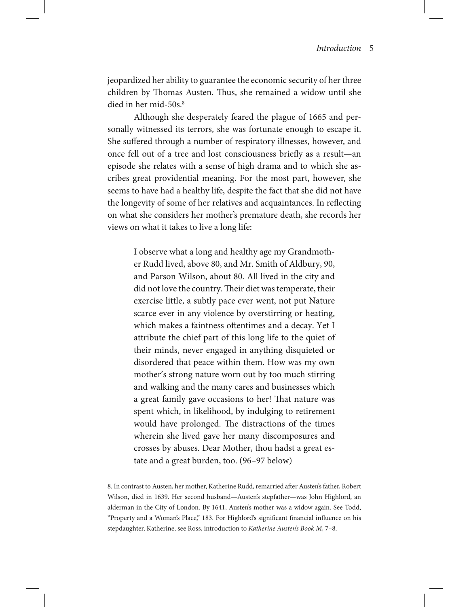jeopardized her ability to guarantee the economic security of her three children by Thomas Austen. Thus, she remained a widow until she died in her mid-50s.<sup>8</sup>

Although she desperately feared the plague of 1665 and personally witnessed its terrors, she was fortunate enough to escape it. She suffered through a number of respiratory illnesses, however, and once fell out of a tree and lost consciousness briefly as a result—an episode she relates with a sense of high drama and to which she ascribes great providential meaning. For the most part, however, she seems to have had a healthy life, despite the fact that she did not have the longevity of some of her relatives and acquaintances. In reflecting on what she considers her mother's premature death, she records her views on what it takes to live a long life:

I observe what a long and healthy age my Grandmother Rudd lived, above 80, and Mr. Smith of Aldbury, 90, and Parson Wilson, about 80. All lived in the city and did not love the country. Their diet was temperate, their exercise little, a subtly pace ever went, not put Nature scarce ever in any violence by overstirring or heating, which makes a faintness oftentimes and a decay. Yet I attribute the chief part of this long life to the quiet of their minds, never engaged in anything disquieted or disordered that peace within them. How was my own mother's strong nature worn out by too much stirring and walking and the many cares and businesses which a great family gave occasions to her! That nature was spent which, in likelihood, by indulging to retirement would have prolonged. The distractions of the times wherein she lived gave her many discomposures and crosses by abuses. Dear Mother, thou hadst a great estate and a great burden, too. (96–97 below)

8. In contrast to Austen, her mother, Katherine Rudd, remarried after Austen's father, Robert Wilson, died in 1639. Her second husband—Austen's stepfather—was John Highlord, an alderman in the City of London. By 1641, Austen's mother was a widow again. See Todd, "Property and a Woman's Place," 183. For Highlord's significant financial influence on his stepdaughter, Katherine, see Ross, introduction to *Katherine Austen's Book M*, 7–8.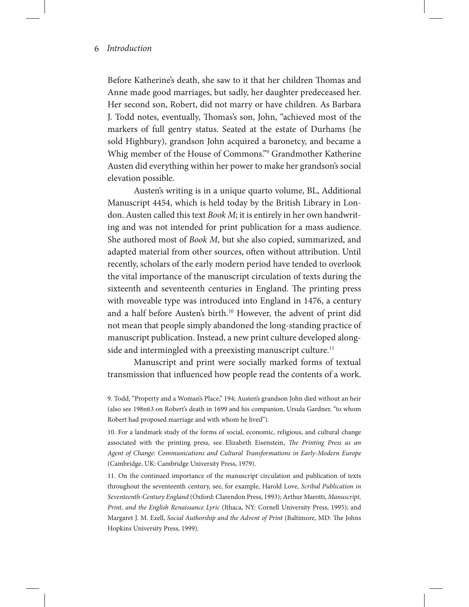Before Katherine's death, she saw to it that her children Thomas and Anne made good marriages, but sadly, her daughter predeceased her. Her second son, Robert, did not marry or have children. As Barbara J. Todd notes, eventually, Thomas's son, John, "achieved most of the markers of full gentry status. Seated at the estate of Durhams (he sold Highbury), grandson John acquired a baronetcy, and became a Whig member of the House of Commons."9 Grandmother Katherine Austen did everything within her power to make her grandson's social elevation possible.

Austen's writing is in a unique quarto volume, BL, Additional Manuscript 4454, which is held today by the British Library in London. Austen called this text *Book M*; it is entirely in her own handwriting and was not intended for print publication for a mass audience. She authored most of *Book M*, but she also copied, summarized, and adapted material from other sources, often without attribution. Until recently, scholars of the early modern period have tended to overlook the vital importance of the manuscript circulation of texts during the sixteenth and seventeenth centuries in England. The printing press with moveable type was introduced into England in 1476, a century and a half before Austen's birth.<sup>10</sup> However, the advent of print did not mean that people simply abandoned the long-standing practice of manuscript publication. Instead, a new print culture developed alongside and intermingled with a preexisting manuscript culture.<sup>11</sup>

Manuscript and print were socially marked forms of textual transmission that influenced how people read the contents of a work.

11. On the continued importance of the manuscript circulation and publication of texts throughout the seventeenth century, see, for example, Harold Love, *Scribal Publication in Seventeenth-Century England* (Oxford: Clarendon Press, 1993); Arthur Marotti, *Manuscript, Print, and the English Renaissance Lyric* (Ithaca, NY: Cornell University Press, 1995); and Margaret J. M. Ezell, *Social Authorship and the Advent of Print* (Baltimore, MD: The Johns Hopkins University Press, 1999).

<sup>9.</sup> Todd, "Property and a Woman's Place," 194; Austen's grandson John died without an heir (also see 198n63 on Robert's death in 1699 and his companion, Ursula Gardner, "to whom Robert had proposed marriage and with whom he lived").

<sup>10.</sup> For a landmark study of the forms of social, economic, religious, and cultural change associated with the printing press, see Elizabeth Eisenstein, *The Printing Press as an Agent of Change: Communications and Cultural Transformations in Early-Modern Europe*  (Cambridge, UK: Cambridge University Press, 1979).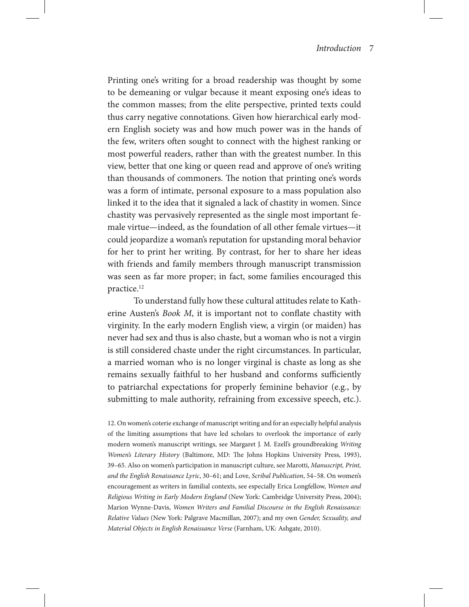Printing one's writing for a broad readership was thought by some to be demeaning or vulgar because it meant exposing one's ideas to the common masses; from the elite perspective, printed texts could thus carry negative connotations. Given how hierarchical early modern English society was and how much power was in the hands of the few, writers often sought to connect with the highest ranking or most powerful readers, rather than with the greatest number. In this view, better that one king or queen read and approve of one's writing than thousands of commoners. The notion that printing one's words was a form of intimate, personal exposure to a mass population also linked it to the idea that it signaled a lack of chastity in women. Since chastity was pervasively represented as the single most important female virtue—indeed, as the foundation of all other female virtues—it could jeopardize a woman's reputation for upstanding moral behavior for her to print her writing. By contrast, for her to share her ideas with friends and family members through manuscript transmission was seen as far more proper; in fact, some families encouraged this practice.12

To understand fully how these cultural attitudes relate to Katherine Austen's *Book M*, it is important not to conflate chastity with virginity. In the early modern English view, a virgin (or maiden) has never had sex and thus is also chaste, but a woman who is not a virgin is still considered chaste under the right circumstances. In particular, a married woman who is no longer virginal is chaste as long as she remains sexually faithful to her husband and conforms sufficiently to patriarchal expectations for properly feminine behavior (e.g., by submitting to male authority, refraining from excessive speech, etc.).

12. On women's coterie exchange of manuscript writing and for an especially helpful analysis of the limiting assumptions that have led scholars to overlook the importance of early modern women's manuscript writings, see Margaret J. M. Ezell's groundbreaking *Writing Women's Literary History* (Baltimore, MD: The Johns Hopkins University Press, 1993), 39–65. Also on women's participation in manuscript culture, see Marotti, *Manuscript, Print, and the English Renaissance Lyric*, 30–61; and Love, *Scribal Publication*, 54–58. On women's encouragement as writers in familial contexts, see especially Erica Longfellow, *Women and Religious Writing in Early Modern England* (New York: Cambridge University Press, 2004); Marion Wynne-Davis, *Women Writers and Familial Discourse in the English Renaissance: Relative Values* (New York: Palgrave Macmillan, 2007); and my own *Gender, Sexuality, and Material Objects in English Renaissance Verse* (Farnham, UK: Ashgate, 2010).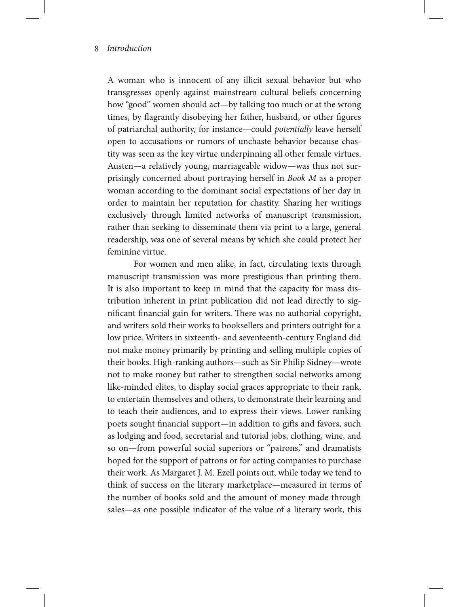A woman who is innocent of any illicit sexual behavior but who transgresses openly against mainstream cultural beliefs concerning how "good" women should act—by talking too much or at the wrong times, by flagrantly disobeying her father, husband, or other figures of patriarchal authority, for instance—could *potentially* leave herself open to accusations or rumors of unchaste behavior because chastity was seen as the key virtue underpinning all other female virtues. Austen—a relatively young, marriageable widow—was thus not surprisingly concerned about portraying herself in *Book M* as a proper woman according to the dominant social expectations of her day in order to maintain her reputation for chastity. Sharing her writings exclusively through limited networks of manuscript transmission, rather than seeking to disseminate them via print to a large, general readership, was one of several means by which she could protect her feminine virtue.

For women and men alike, in fact, circulating texts through manuscript transmission was more prestigious than printing them. It is also important to keep in mind that the capacity for mass distribution inherent in print publication did not lead directly to significant financial gain for writers. There was no authorial copyright, and writers sold their works to booksellers and printers outright for a low price. Writers in sixteenth- and seventeenth-century England did not make money primarily by printing and selling multiple copies of their books. High-ranking authors—such as Sir Philip Sidney—wrote not to make money but rather to strengthen social networks among like-minded elites, to display social graces appropriate to their rank, to entertain themselves and others, to demonstrate their learning and to teach their audiences, and to express their views. Lower ranking poets sought financial support—in addition to gifts and favors, such as lodging and food, secretarial and tutorial jobs, clothing, wine, and so on—from powerful social superiors or "patrons," and dramatists hoped for the support of patrons or for acting companies to purchase their work. As Margaret J. M. Ezell points out, while today we tend to think of success on the literary marketplace—measured in terms of the number of books sold and the amount of money made through sales—as one possible indicator of the value of a literary work, this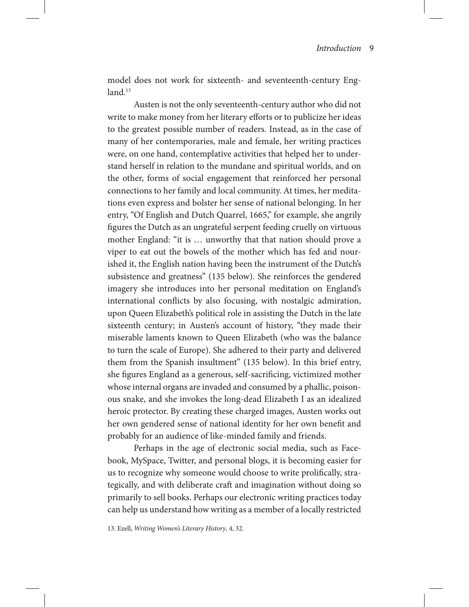model does not work for sixteenth- and seventeenth-century Eng $land.<sup>13</sup>$ 

Austen is not the only seventeenth-century author who did not write to make money from her literary efforts or to publicize her ideas to the greatest possible number of readers. Instead, as in the case of many of her contemporaries, male and female, her writing practices were, on one hand, contemplative activities that helped her to understand herself in relation to the mundane and spiritual worlds, and on the other, forms of social engagement that reinforced her personal connections to her family and local community. At times, her meditations even express and bolster her sense of national belonging. In her entry, "Of English and Dutch Quarrel, 1665," for example, she angrily figures the Dutch as an ungrateful serpent feeding cruelly on virtuous mother England: "it is … unworthy that that nation should prove a viper to eat out the bowels of the mother which has fed and nourished it, the English nation having been the instrument of the Dutch's subsistence and greatness" (135 below). She reinforces the gendered imagery she introduces into her personal meditation on England's international conflicts by also focusing, with nostalgic admiration, upon Queen Elizabeth's political role in assisting the Dutch in the late sixteenth century; in Austen's account of history, "they made their miserable laments known to Queen Elizabeth (who was the balance to turn the scale of Europe). She adhered to their party and delivered them from the Spanish insultment" (135 below). In this brief entry, she figures England as a generous, self-sacrificing, victimized mother whose internal organs are invaded and consumed by a phallic, poisonous snake, and she invokes the long-dead Elizabeth I as an idealized heroic protector. By creating these charged images, Austen works out her own gendered sense of national identity for her own benefit and probably for an audience of like-minded family and friends.

Perhaps in the age of electronic social media, such as Facebook, MySpace, Twitter, and personal blogs, it is becoming easier for us to recognize why someone would choose to write prolifically, strategically, and with deliberate craft and imagination without doing so primarily to sell books. Perhaps our electronic writing practices today can help us understand how writing as a member of a locally restricted

13. Ezell, *Writing Women's Literary History*, 4, 32.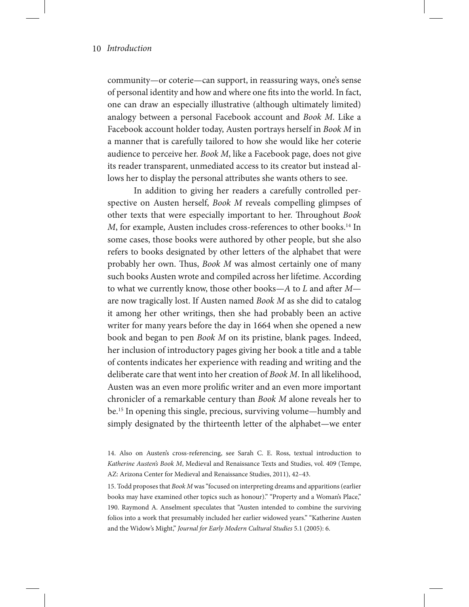community—or coterie—can support, in reassuring ways, one's sense of personal identity and how and where one fits into the world. In fact, one can draw an especially illustrative (although ultimately limited) analogy between a personal Facebook account and *Book M*. Like a Facebook account holder today, Austen portrays herself in *Book M* in a manner that is carefully tailored to how she would like her coterie audience to perceive her. *Book M*, like a Facebook page, does not give its reader transparent, unmediated access to its creator but instead allows her to display the personal attributes she wants others to see.

In addition to giving her readers a carefully controlled perspective on Austen herself, *Book M* reveals compelling glimpses of other texts that were especially important to her. Throughout *Book M*, for example, Austen includes cross-references to other books.<sup>14</sup> In some cases, those books were authored by other people, but she also refers to books designated by other letters of the alphabet that were probably her own. Thus, *Book M* was almost certainly one of many such books Austen wrote and compiled across her lifetime. According to what we currently know, those other books—*A* to *L* and after *M* are now tragically lost. If Austen named *Book M* as she did to catalog it among her other writings, then she had probably been an active writer for many years before the day in 1664 when she opened a new book and began to pen *Book M* on its pristine, blank pages. Indeed, her inclusion of introductory pages giving her book a title and a table of contents indicates her experience with reading and writing and the deliberate care that went into her creation of *Book M*. In all likelihood, Austen was an even more prolific writer and an even more important chronicler of a remarkable century than *Book M* alone reveals her to be.15 In opening this single, precious, surviving volume—humbly and simply designated by the thirteenth letter of the alphabet—we enter

15. Todd proposes that *Book M* was "focused on interpreting dreams and apparitions (earlier books may have examined other topics such as honour)." "Property and a Woman's Place," 190. Raymond A. Anselment speculates that "Austen intended to combine the surviving folios into a work that presumably included her earlier widowed years." "Katherine Austen and the Widow's Might," *Journal for Early Modern Cultural Studies* 5.1 (2005): 6.

<sup>14.</sup> Also on Austen's cross-referencing, see Sarah C. E. Ross, textual introduction to *Katherine Austen's Book M*, Medieval and Renaissance Texts and Studies, vol. 409 (Tempe, AZ: Arizona Center for Medieval and Renaissance Studies, 2011), 42–43.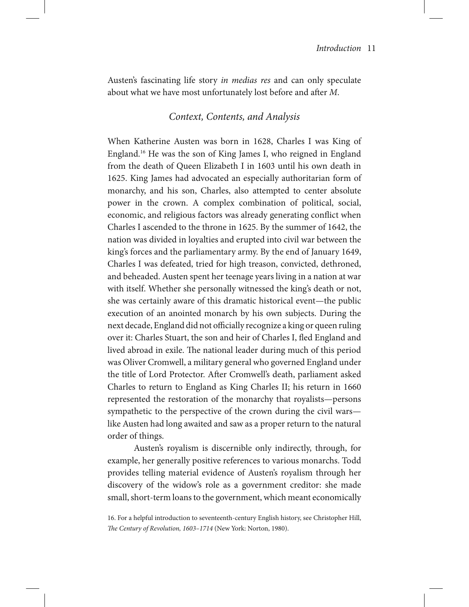Austen's fascinating life story *in medias res* and can only speculate about what we have most unfortunately lost before and after *M*.

## *Context, Contents, and Analysis*

When Katherine Austen was born in 1628, Charles I was King of England.16 He was the son of King James I, who reigned in England from the death of Queen Elizabeth I in 1603 until his own death in 1625. King James had advocated an especially authoritarian form of monarchy, and his son, Charles, also attempted to center absolute power in the crown. A complex combination of political, social, economic, and religious factors was already generating conflict when Charles I ascended to the throne in 1625. By the summer of 1642, the nation was divided in loyalties and erupted into civil war between the king's forces and the parliamentary army. By the end of January 1649, Charles I was defeated, tried for high treason, convicted, dethroned, and beheaded. Austen spent her teenage years living in a nation at war with itself. Whether she personally witnessed the king's death or not, she was certainly aware of this dramatic historical event—the public execution of an anointed monarch by his own subjects. During the next decade, England did not officially recognize a king or queen ruling over it: Charles Stuart, the son and heir of Charles I, fled England and lived abroad in exile. The national leader during much of this period was Oliver Cromwell, a military general who governed England under the title of Lord Protector. After Cromwell's death, parliament asked Charles to return to England as King Charles II; his return in 1660 represented the restoration of the monarchy that royalists—persons sympathetic to the perspective of the crown during the civil wars like Austen had long awaited and saw as a proper return to the natural order of things.

Austen's royalism is discernible only indirectly, through, for example, her generally positive references to various monarchs. Todd provides telling material evidence of Austen's royalism through her discovery of the widow's role as a government creditor: she made small, short-term loans to the government, which meant economically

<sup>16.</sup> For a helpful introduction to seventeenth-century English history, see Christopher Hill, *The Century of Revolution, 1603–1714* (New York: Norton, 1980).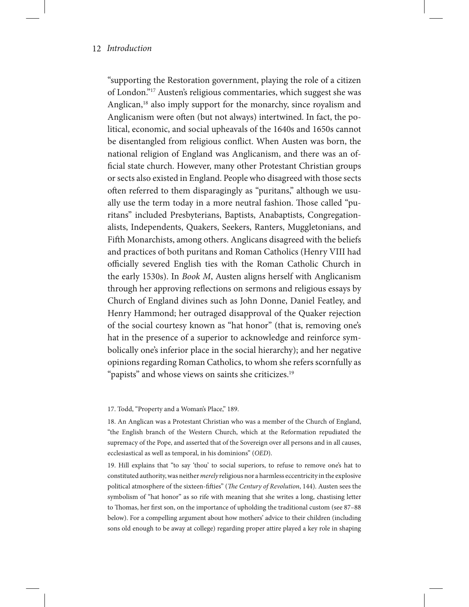"supporting the Restoration government, playing the role of a citizen of London."17 Austen's religious commentaries, which suggest she was Anglican,<sup>18</sup> also imply support for the monarchy, since royalism and Anglicanism were often (but not always) intertwined. In fact, the political, economic, and social upheavals of the 1640s and 1650s cannot be disentangled from religious conflict. When Austen was born, the national religion of England was Anglicanism, and there was an official state church. However, many other Protestant Christian groups or sects also existed in England. People who disagreed with those sects often referred to them disparagingly as "puritans," although we usually use the term today in a more neutral fashion. Those called "puritans" included Presbyterians, Baptists, Anabaptists, Congregationalists, Independents, Quakers, Seekers, Ranters, Muggletonians, and Fifth Monarchists, among others. Anglicans disagreed with the beliefs and practices of both puritans and Roman Catholics (Henry VIII had officially severed English ties with the Roman Catholic Church in the early 1530s). In *Book M*, Austen aligns herself with Anglicanism through her approving reflections on sermons and religious essays by Church of England divines such as John Donne, Daniel Featley, and Henry Hammond; her outraged disapproval of the Quaker rejection of the social courtesy known as "hat honor" (that is, removing one's hat in the presence of a superior to acknowledge and reinforce symbolically one's inferior place in the social hierarchy); and her negative opinions regarding Roman Catholics, to whom she refers scornfully as "papists" and whose views on saints she criticizes.<sup>19</sup>

#### 17. Todd, "Property and a Woman's Place," 189.

18. An Anglican was a Protestant Christian who was a member of the Church of England, "the English branch of the Western Church, which at the Reformation repudiated the supremacy of the Pope, and asserted that of the Sovereign over all persons and in all causes, ecclesiastical as well as temporal, in his dominions" (*OED*).

19. Hill explains that "to say 'thou' to social superiors, to refuse to remove one's hat to constituted authority, was neither *merely* religious nor a harmless eccentricity in the explosive political atmosphere of the sixteen-fifties" (*The Century of Revolution*, 144). Austen sees the symbolism of "hat honor" as so rife with meaning that she writes a long, chastising letter to Thomas, her first son, on the importance of upholding the traditional custom (see 87–88 below). For a compelling argument about how mothers' advice to their children (including sons old enough to be away at college) regarding proper attire played a key role in shaping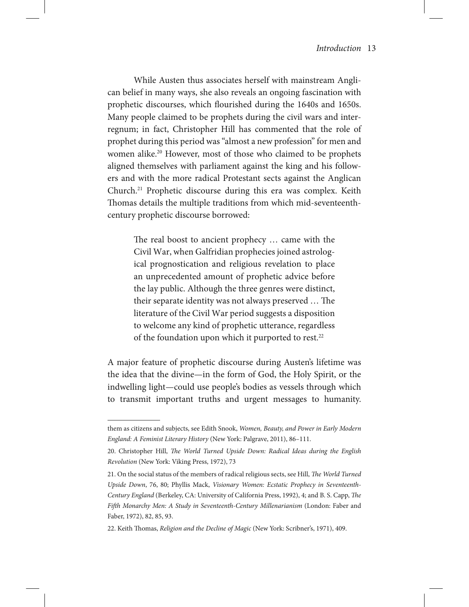While Austen thus associates herself with mainstream Anglican belief in many ways, she also reveals an ongoing fascination with prophetic discourses, which flourished during the 1640s and 1650s. Many people claimed to be prophets during the civil wars and interregnum; in fact, Christopher Hill has commented that the role of prophet during this period was "almost a new profession" for men and women alike.<sup>20</sup> However, most of those who claimed to be prophets aligned themselves with parliament against the king and his followers and with the more radical Protestant sects against the Anglican Church.21 Prophetic discourse during this era was complex. Keith Thomas details the multiple traditions from which mid-seventeenthcentury prophetic discourse borrowed:

> The real boost to ancient prophecy … came with the Civil War, when Galfridian prophecies joined astrological prognostication and religious revelation to place an unprecedented amount of prophetic advice before the lay public. Although the three genres were distinct, their separate identity was not always preserved … The literature of the Civil War period suggests a disposition to welcome any kind of prophetic utterance, regardless of the foundation upon which it purported to rest.<sup>22</sup>

A major feature of prophetic discourse during Austen's lifetime was the idea that the divine—in the form of God, the Holy Spirit, or the indwelling light—could use people's bodies as vessels through which to transmit important truths and urgent messages to humanity.

them as citizens and subjects, see Edith Snook, *Women, Beauty, and Power in Early Modern England: A Feminist Literary History* (New York: Palgrave, 2011), 86–111.

<sup>20.</sup> Christopher Hill, *The World Turned Upside Down: Radical Ideas during the English Revolution* (New York: Viking Press, 1972), 73

<sup>21.</sup> On the social status of the members of radical religious sects, see Hill, *The World Turned Upside Down*, 76, 80; Phyllis Mack, *Visionary Women: Ecstatic Prophecy in Seventeenth-Century England* (Berkeley, CA: University of California Press, 1992), 4; and B. S. Capp, *The Fifth Monarchy Men: A Study in Seventeenth-Century Millenarianism* (London: Faber and Faber, 1972), 82, 85, 93.

<sup>22.</sup> Keith Thomas, *Religion and the Decline of Magic* (New York: Scribner's, 1971), 409.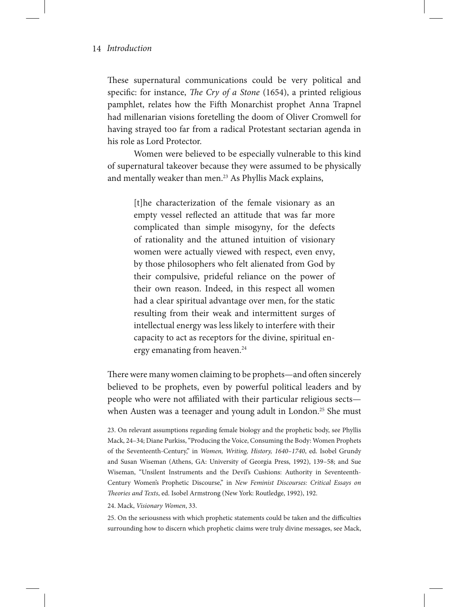These supernatural communications could be very political and specific: for instance, *The Cry of a Stone* (1654), a printed religious pamphlet, relates how the Fifth Monarchist prophet Anna Trapnel had millenarian visions foretelling the doom of Oliver Cromwell for having strayed too far from a radical Protestant sectarian agenda in his role as Lord Protector.

Women were believed to be especially vulnerable to this kind of supernatural takeover because they were assumed to be physically and mentally weaker than men.<sup>23</sup> As Phyllis Mack explains,

> [t]he characterization of the female visionary as an empty vessel reflected an attitude that was far more complicated than simple misogyny, for the defects of rationality and the attuned intuition of visionary women were actually viewed with respect, even envy, by those philosophers who felt alienated from God by their compulsive, prideful reliance on the power of their own reason. Indeed, in this respect all women had a clear spiritual advantage over men, for the static resulting from their weak and intermittent surges of intellectual energy was less likely to interfere with their capacity to act as receptors for the divine, spiritual energy emanating from heaven.<sup>24</sup>

There were many women claiming to be prophets—and often sincerely believed to be prophets, even by powerful political leaders and by people who were not affiliated with their particular religious sects when Austen was a teenager and young adult in London.<sup>25</sup> She must

23. On relevant assumptions regarding female biology and the prophetic body, see Phyllis Mack, 24–34; Diane Purkiss, "Producing the Voice, Consuming the Body: Women Prophets of the Seventeenth-Century," in *Women, Writing, History, 1640–1740*, ed. Isobel Grundy and Susan Wiseman (Athens, GA: University of Georgia Press, 1992), 139–58; and Sue Wiseman, "Unsilent Instruments and the Devil's Cushions: Authority in Seventeenth-Century Women's Prophetic Discourse," in *New Feminist Discourses: Critical Essays on Theories and Texts*, ed. Isobel Armstrong (New York: Routledge, 1992), 192.

#### 24. Mack, *Visionary Women*, 33.

25. On the seriousness with which prophetic statements could be taken and the difficulties surrounding how to discern which prophetic claims were truly divine messages, see Mack,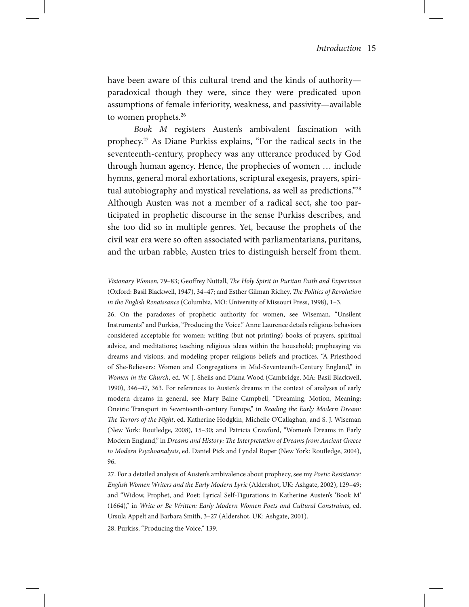have been aware of this cultural trend and the kinds of authority paradoxical though they were, since they were predicated upon assumptions of female inferiority, weakness, and passivity—available to women prophets.<sup>26</sup>

*Book M* registers Austen's ambivalent fascination with prophecy.27 As Diane Purkiss explains, "For the radical sects in the seventeenth-century, prophecy was any utterance produced by God through human agency. Hence, the prophecies of women … include hymns, general moral exhortations, scriptural exegesis, prayers, spiritual autobiography and mystical revelations, as well as predictions."28 Although Austen was not a member of a radical sect, she too participated in prophetic discourse in the sense Purkiss describes, and she too did so in multiple genres. Yet, because the prophets of the civil war era were so often associated with parliamentarians, puritans, and the urban rabble, Austen tries to distinguish herself from them.

*Visionary Women*, 79–83; Geoffrey Nuttall, *The Holy Spirit in Puritan Faith and Experience*  (Oxford: Basil Blackwell, 1947), 34–47; and Esther Gilman Richey, *The Politics of Revolution in the English Renaissance* (Columbia, MO: University of Missouri Press, 1998), 1–3.

<sup>26.</sup> On the paradoxes of prophetic authority for women, see Wiseman, "Unsilent Instruments" and Purkiss, "Producing the Voice." Anne Laurence details religious behaviors considered acceptable for women: writing (but not printing) books of prayers, spiritual advice, and meditations; teaching religious ideas within the household; prophesying via dreams and visions; and modeling proper religious beliefs and practices. "A Priesthood of She-Believers: Women and Congregations in Mid-Seventeenth-Century England," in *Women in the Church*, ed. W. J. Sheils and Diana Wood (Cambridge, MA: Basil Blackwell, 1990), 346–47, 363. For references to Austen's dreams in the context of analyses of early modern dreams in general, see Mary Baine Campbell, "Dreaming, Motion, Meaning: Oneiric Transport in Seventeenth-century Europe," in *Reading the Early Modern Dream: The Terrors of the Night*, ed. Katherine Hodgkin, Michelle O'Callaghan, and S. J. Wiseman (New York: Routledge, 2008), 15–30; and Patricia Crawford, "Women's Dreams in Early Modern England," in *Dreams and History: The Interpretation of Dreams from Ancient Greece to Modern Psychoanalysis*, ed. Daniel Pick and Lyndal Roper (New York: Routledge, 2004), 96.

<sup>27.</sup> For a detailed analysis of Austen's ambivalence about prophecy, see my *Poetic Resistance: English Women Writers and the Early Modern Lyric* (Aldershot, UK: Ashgate, 2002), 129–49; and "Widow, Prophet, and Poet: Lyrical Self-Figurations in Katherine Austen's 'Book M' (1664)," in *Write or Be Written: Early Modern Women Poets and Cultural Constraints*, ed. Ursula Appelt and Barbara Smith, 3–27 (Aldershot, UK: Ashgate, 2001).

<sup>28.</sup> Purkiss, "Producing the Voice," 139.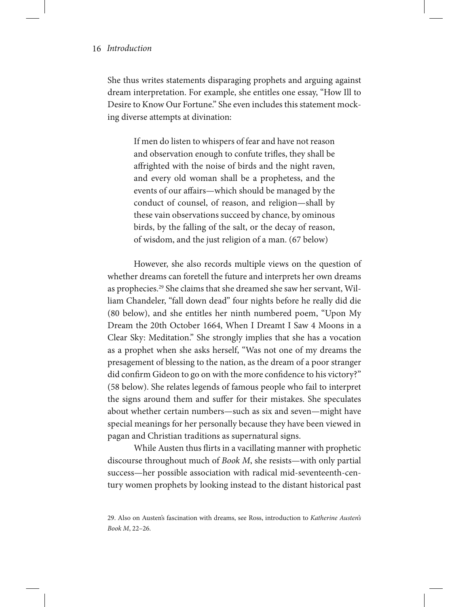She thus writes statements disparaging prophets and arguing against dream interpretation. For example, she entitles one essay, "How Ill to Desire to Know Our Fortune." She even includes this statement mocking diverse attempts at divination:

> If men do listen to whispers of fear and have not reason and observation enough to confute trifles, they shall be affrighted with the noise of birds and the night raven, and every old woman shall be a prophetess, and the events of our affairs—which should be managed by the conduct of counsel, of reason, and religion—shall by these vain observations succeed by chance, by ominous birds, by the falling of the salt, or the decay of reason, of wisdom, and the just religion of a man. (67 below)

However, she also records multiple views on the question of whether dreams can foretell the future and interprets her own dreams as prophecies.29 She claims that she dreamed she saw her servant, William Chandeler, "fall down dead" four nights before he really did die (80 below), and she entitles her ninth numbered poem, "Upon My Dream the 20th October 1664, When I Dreamt I Saw 4 Moons in a Clear Sky: Meditation." She strongly implies that she has a vocation as a prophet when she asks herself, "Was not one of my dreams the presagement of blessing to the nation, as the dream of a poor stranger did confirm Gideon to go on with the more confidence to his victory?" (58 below). She relates legends of famous people who fail to interpret the signs around them and suffer for their mistakes. She speculates about whether certain numbers—such as six and seven—might have special meanings for her personally because they have been viewed in pagan and Christian traditions as supernatural signs.

While Austen thus flirts in a vacillating manner with prophetic discourse throughout much of *Book M*, she resists—with only partial success—her possible association with radical mid-seventeenth-century women prophets by looking instead to the distant historical past

<sup>29.</sup> Also on Austen's fascination with dreams, see Ross, introduction to *Katherine Austen's Book M*, 22–26.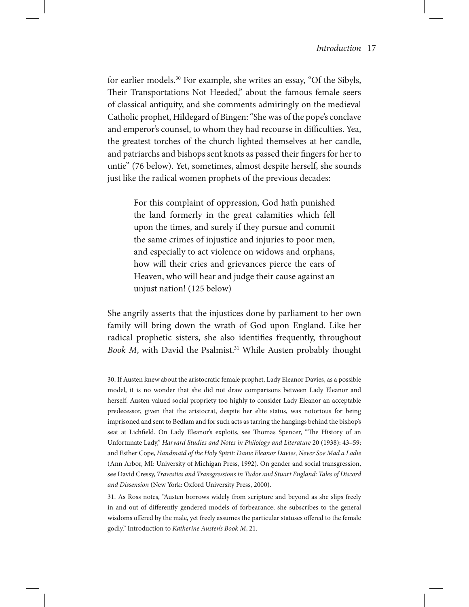for earlier models.30 For example, she writes an essay, "Of the Sibyls, Their Transportations Not Heeded," about the famous female seers of classical antiquity, and she comments admiringly on the medieval Catholic prophet, Hildegard of Bingen: "She was of the pope's conclave and emperor's counsel, to whom they had recourse in difficulties. Yea, the greatest torches of the church lighted themselves at her candle, and patriarchs and bishops sent knots as passed their fingers for her to untie" (76 below). Yet, sometimes, almost despite herself, she sounds just like the radical women prophets of the previous decades:

> For this complaint of oppression, God hath punished the land formerly in the great calamities which fell upon the times, and surely if they pursue and commit the same crimes of injustice and injuries to poor men, and especially to act violence on widows and orphans, how will their cries and grievances pierce the ears of Heaven, who will hear and judge their cause against an unjust nation! (125 below)

She angrily asserts that the injustices done by parliament to her own family will bring down the wrath of God upon England. Like her radical prophetic sisters, she also identifies frequently, throughout Book *M*, with David the Psalmist.<sup>31</sup> While Austen probably thought

30. If Austen knew about the aristocratic female prophet, Lady Eleanor Davies, as a possible model, it is no wonder that she did not draw comparisons between Lady Eleanor and herself. Austen valued social propriety too highly to consider Lady Eleanor an acceptable predecessor, given that the aristocrat, despite her elite status, was notorious for being imprisoned and sent to Bedlam and for such acts as tarring the hangings behind the bishop's seat at Lichfield. On Lady Eleanor's exploits, see Thomas Spencer, "The History of an Unfortunate Lady," *Harvard Studies and Notes in Philology and Literature* 20 (1938): 43–59; and Esther Cope, *Handmaid of the Holy Spirit: Dame Eleanor Davies, Never Soe Mad a Ladie* (Ann Arbor, MI: University of Michigan Press, 1992). On gender and social transgression, see David Cressy, *Travesties and Transgressions in Tudor and Stuart England: Tales of Discord and Dissension* (New York: Oxford University Press, 2000).

31. As Ross notes, "Austen borrows widely from scripture and beyond as she slips freely in and out of differently gendered models of forbearance; she subscribes to the general wisdoms offered by the male, yet freely assumes the particular statuses offered to the female godly." Introduction to *Katherine Austen's Book M*, 21.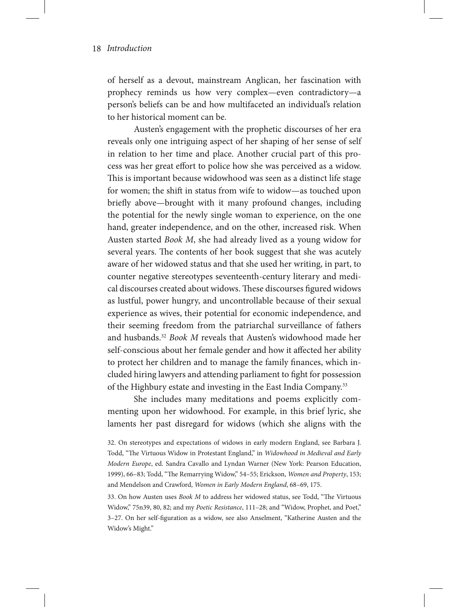of herself as a devout, mainstream Anglican, her fascination with prophecy reminds us how very complex—even contradictory—a person's beliefs can be and how multifaceted an individual's relation to her historical moment can be.

Austen's engagement with the prophetic discourses of her era reveals only one intriguing aspect of her shaping of her sense of self in relation to her time and place. Another crucial part of this process was her great effort to police how she was perceived as a widow. This is important because widowhood was seen as a distinct life stage for women; the shift in status from wife to widow—as touched upon briefly above—brought with it many profound changes, including the potential for the newly single woman to experience, on the one hand, greater independence, and on the other, increased risk. When Austen started *Book M*, she had already lived as a young widow for several years. The contents of her book suggest that she was acutely aware of her widowed status and that she used her writing, in part, to counter negative stereotypes seventeenth-century literary and medical discourses created about widows. These discourses figured widows as lustful, power hungry, and uncontrollable because of their sexual experience as wives, their potential for economic independence, and their seeming freedom from the patriarchal surveillance of fathers and husbands.32 *Book M* reveals that Austen's widowhood made her self-conscious about her female gender and how it affected her ability to protect her children and to manage the family finances, which included hiring lawyers and attending parliament to fight for possession of the Highbury estate and investing in the East India Company.<sup>33</sup>

She includes many meditations and poems explicitly commenting upon her widowhood. For example, in this brief lyric, she laments her past disregard for widows (which she aligns with the

33. On how Austen uses *Book M* to address her widowed status, see Todd, "The Virtuous Widow," 75n39, 80, 82; and my *Poetic Resistance*, 111–28; and "Widow, Prophet, and Poet," 3–27. On her self-figuration as a widow, see also Anselment, "Katherine Austen and the Widow's Might."

<sup>32.</sup> On stereotypes and expectations of widows in early modern England, see Barbara J. Todd, "The Virtuous Widow in Protestant England," in *Widowhood in Medieval and Early Modern Europe*, ed. Sandra Cavallo and Lyndan Warner (New York: Pearson Education, 1999), 66–83; Todd, "The Remarrying Widow," 54–55; Erickson, *Women and Property*, 153; and Mendelson and Crawford, *Women in Early Modern England*, 68–69, 175.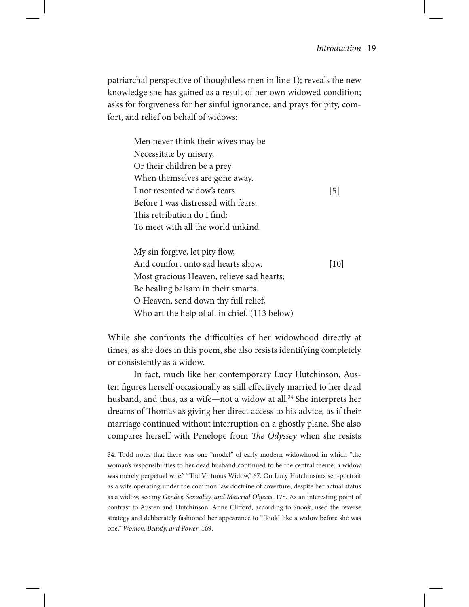patriarchal perspective of thoughtless men in line 1); reveals the new knowledge she has gained as a result of her own widowed condition; asks for forgiveness for her sinful ignorance; and prays for pity, comfort, and relief on behalf of widows:

> Men never think their wives may be Necessitate by misery, Or their children be a prey When themselves are gone away. I not resented widow's tears [5] Before I was distressed with fears. This retribution do I find: To meet with all the world unkind.

My sin forgive, let pity flow, And comfort unto sad hearts show. [10] Most gracious Heaven, relieve sad hearts; Be healing balsam in their smarts. O Heaven, send down thy full relief, Who art the help of all in chief. (113 below)

While she confronts the difficulties of her widowhood directly at times, as she does in this poem, she also resists identifying completely or consistently as a widow.

In fact, much like her contemporary Lucy Hutchinson, Austen figures herself occasionally as still effectively married to her dead husband, and thus, as a wife—not a widow at all.<sup>34</sup> She interprets her dreams of Thomas as giving her direct access to his advice, as if their marriage continued without interruption on a ghostly plane. She also compares herself with Penelope from *The Odyssey* when she resists

34. Todd notes that there was one "model" of early modern widowhood in which "the woman's responsibilities to her dead husband continued to be the central theme: a widow was merely perpetual wife." "The Virtuous Widow," 67. On Lucy Hutchinson's self-portrait as a wife operating under the common law doctrine of coverture, despite her actual status as a widow, see my *Gender, Sexuality, and Material Objects*, 178. As an interesting point of contrast to Austen and Hutchinson, Anne Clifford, according to Snook, used the reverse strategy and deliberately fashioned her appearance to "[look] like a widow before she was one." *Women, Beauty, and Power*, 169.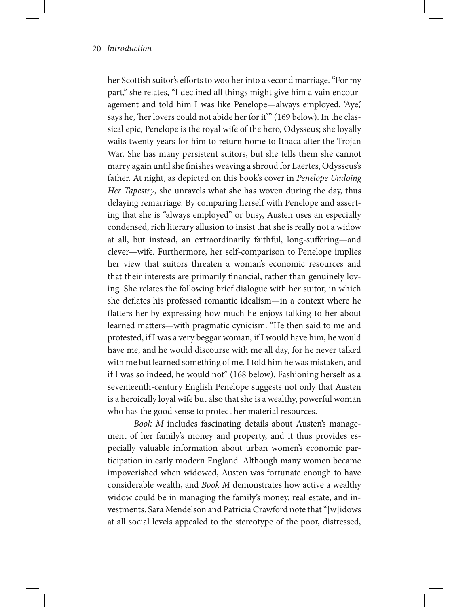her Scottish suitor's efforts to woo her into a second marriage. "For my part," she relates, "I declined all things might give him a vain encouragement and told him I was like Penelope—always employed. 'Aye,' says he, 'her lovers could not abide her for it'" (169 below). In the classical epic, Penelope is the royal wife of the hero, Odysseus; she loyally waits twenty years for him to return home to Ithaca after the Trojan War. She has many persistent suitors, but she tells them she cannot marry again until she finishes weaving a shroud for Laertes, Odysseus's father. At night, as depicted on this book's cover in *Penelope Undoing Her Tapestry*, she unravels what she has woven during the day, thus delaying remarriage. By comparing herself with Penelope and asserting that she is "always employed" or busy, Austen uses an especially condensed, rich literary allusion to insist that she is really not a widow at all, but instead, an extraordinarily faithful, long-suffering—and clever—wife. Furthermore, her self-comparison to Penelope implies her view that suitors threaten a woman's economic resources and that their interests are primarily financial, rather than genuinely loving. She relates the following brief dialogue with her suitor, in which she deflates his professed romantic idealism—in a context where he flatters her by expressing how much he enjoys talking to her about learned matters—with pragmatic cynicism: "He then said to me and protested, if I was a very beggar woman, if I would have him, he would have me, and he would discourse with me all day, for he never talked with me but learned something of me. I told him he was mistaken, and if I was so indeed, he would not" (168 below). Fashioning herself as a seventeenth-century English Penelope suggests not only that Austen is a heroically loyal wife but also that she is a wealthy, powerful woman who has the good sense to protect her material resources.

*Book M* includes fascinating details about Austen's management of her family's money and property, and it thus provides especially valuable information about urban women's economic participation in early modern England. Although many women became impoverished when widowed, Austen was fortunate enough to have considerable wealth, and *Book M* demonstrates how active a wealthy widow could be in managing the family's money, real estate, and investments. Sara Mendelson and Patricia Crawford note that "[w]idows at all social levels appealed to the stereotype of the poor, distressed,